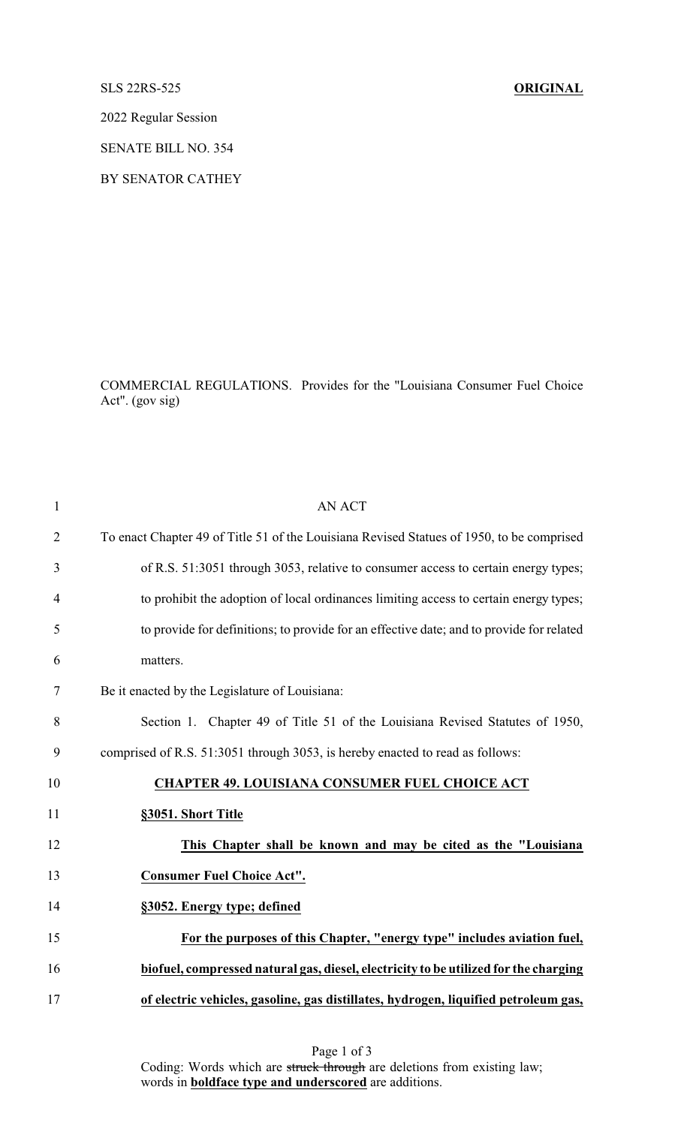## SLS 22RS-525 **ORIGINAL**

2022 Regular Session

SENATE BILL NO. 354

BY SENATOR CATHEY

COMMERCIAL REGULATIONS. Provides for the "Louisiana Consumer Fuel Choice Act". (gov sig)

| $\mathbf{1}$   | <b>AN ACT</b>                                                                             |
|----------------|-------------------------------------------------------------------------------------------|
| $\overline{2}$ | To enact Chapter 49 of Title 51 of the Louisiana Revised Statues of 1950, to be comprised |
| 3              | of R.S. 51:3051 through 3053, relative to consumer access to certain energy types;        |
| 4              | to prohibit the adoption of local ordinances limiting access to certain energy types;     |
| 5              | to provide for definitions; to provide for an effective date; and to provide for related  |
| 6              | matters.                                                                                  |
| 7              | Be it enacted by the Legislature of Louisiana:                                            |
| 8              | Section 1. Chapter 49 of Title 51 of the Louisiana Revised Statutes of 1950,              |
| 9              | comprised of R.S. 51:3051 through 3053, is hereby enacted to read as follows:             |
| 10             | <b>CHAPTER 49. LOUISIANA CONSUMER FUEL CHOICE ACT</b>                                     |
| 11             | §3051. Short Title                                                                        |
| 12             | This Chapter shall be known and may be cited as the "Louisiana                            |
| 13             | <b>Consumer Fuel Choice Act".</b>                                                         |
| 14             | §3052. Energy type; defined                                                               |
| 15             | For the purposes of this Chapter, "energy type" includes aviation fuel,                   |
| 16             | biofuel, compressed natural gas, diesel, electricity to be utilized for the charging      |
| 17             | of electric vehicles, gasoline, gas distillates, hydrogen, liquified petroleum gas,       |
|                |                                                                                           |

Page 1 of 3 Coding: Words which are struck through are deletions from existing law; words in **boldface type and underscored** are additions.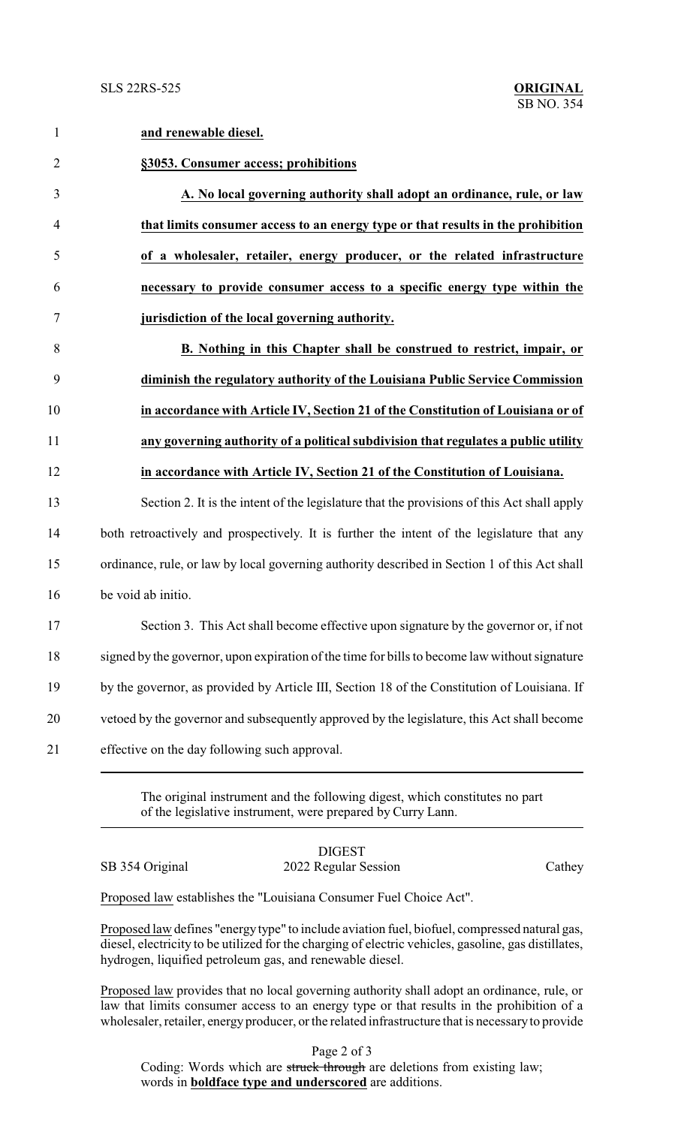1 **and renewable diesel.**

| $\overline{2}$ | §3053. Consumer access; prohibitions                                                          |
|----------------|-----------------------------------------------------------------------------------------------|
| 3              | A. No local governing authority shall adopt an ordinance, rule, or law                        |
| $\overline{4}$ | that limits consumer access to an energy type or that results in the prohibition              |
| 5              | of a wholesaler, retailer, energy producer, or the related infrastructure                     |
| 6              | necessary to provide consumer access to a specific energy type within the                     |
| $\tau$         | jurisdiction of the local governing authority.                                                |
| 8              | <b>B.</b> Nothing in this Chapter shall be construed to restrict, impair, or                  |
| 9              | diminish the regulatory authority of the Louisiana Public Service Commission                  |
| 10             | in accordance with Article IV, Section 21 of the Constitution of Louisiana or of              |
| 11             | any governing authority of a political subdivision that regulates a public utility            |
| 12             | in accordance with Article IV, Section 21 of the Constitution of Louisiana.                   |
| 13             | Section 2. It is the intent of the legislature that the provisions of this Act shall apply    |
| 14             | both retroactively and prospectively. It is further the intent of the legislature that any    |
| 15             | ordinance, rule, or law by local governing authority described in Section 1 of this Act shall |
| 16             | be void ab initio.                                                                            |
| 17             | Section 3. This Act shall become effective upon signature by the governor or, if not          |
| 18             | signed by the governor, upon expiration of the time for bills to become law without signature |
| 19             | by the governor, as provided by Article III, Section 18 of the Constitution of Louisiana. If  |
| 20             | vetoed by the governor and subsequently approved by the legislature, this Act shall become    |
| 21             | effective on the day following such approval.                                                 |
|                |                                                                                               |

The original instrument and the following digest, which constitutes no part of the legislative instrument, were prepared by Curry Lann.

DIGEST SB 354 Original 2022 Regular Session Cathey

Proposed law establishes the "Louisiana Consumer Fuel Choice Act".

Proposed law defines "energy type" to include aviation fuel, biofuel, compressed natural gas, diesel, electricity to be utilized for the charging of electric vehicles, gasoline, gas distillates, hydrogen, liquified petroleum gas, and renewable diesel.

Proposed law provides that no local governing authority shall adopt an ordinance, rule, or law that limits consumer access to an energy type or that results in the prohibition of a wholesaler, retailer, energy producer, or the related infrastructure that is necessaryto provide

Page 2 of 3 Coding: Words which are struck through are deletions from existing law; words in **boldface type and underscored** are additions.